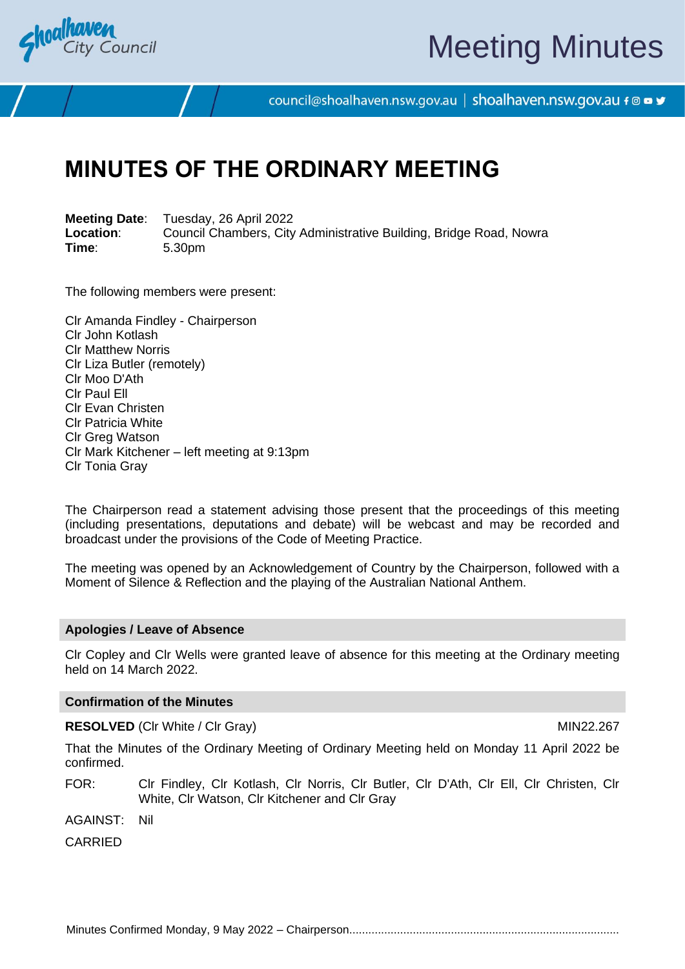

# Meeting Minutes

council@shoalhaven.nsw.gov.au | shoalhaven.nsw.gov.au f @ ■ y

## **MINUTES OF THE ORDINARY MEETING**

**Meeting Date**: Tuesday, 26 April 2022 **Location:** Council Chambers, City Administrative Building, Bridge Road, Nowra<br>
Time: 5.30pm **Time**: 5.30pm

The following members were present:

Clr Amanda Findley - Chairperson Clr John Kotlash Clr Matthew Norris Clr Liza Butler (remotely) Clr Moo D'Ath Clr Paul Ell Clr Evan Christen Clr Patricia White Clr Greg Watson Clr Mark Kitchener – left meeting at 9:13pm Clr Tonia Gray

The Chairperson read a statement advising those present that the proceedings of this meeting (including presentations, deputations and debate) will be webcast and may be recorded and broadcast under the provisions of the Code of Meeting Practice.

The meeting was opened by an Acknowledgement of Country by the Chairperson, followed with a Moment of Silence & Reflection and the playing of the Australian National Anthem.

#### **Apologies / Leave of Absence**

Clr Copley and Clr Wells were granted leave of absence for this meeting at the Ordinary meeting held on 14 March 2022.

#### **Confirmation of the Minutes**

**RESOLVED** (CIr White / CIr Gray) MIN22.267

That the Minutes of the Ordinary Meeting of Ordinary Meeting held on Monday 11 April 2022 be confirmed.

FOR: Clr Findley, Clr Kotlash, Clr Norris, Clr Butler, Clr D'Ath, Clr Ell, Clr Christen, Clr White, Clr Watson, Clr Kitchener and Clr Gray

AGAINST: Nil

CARRIED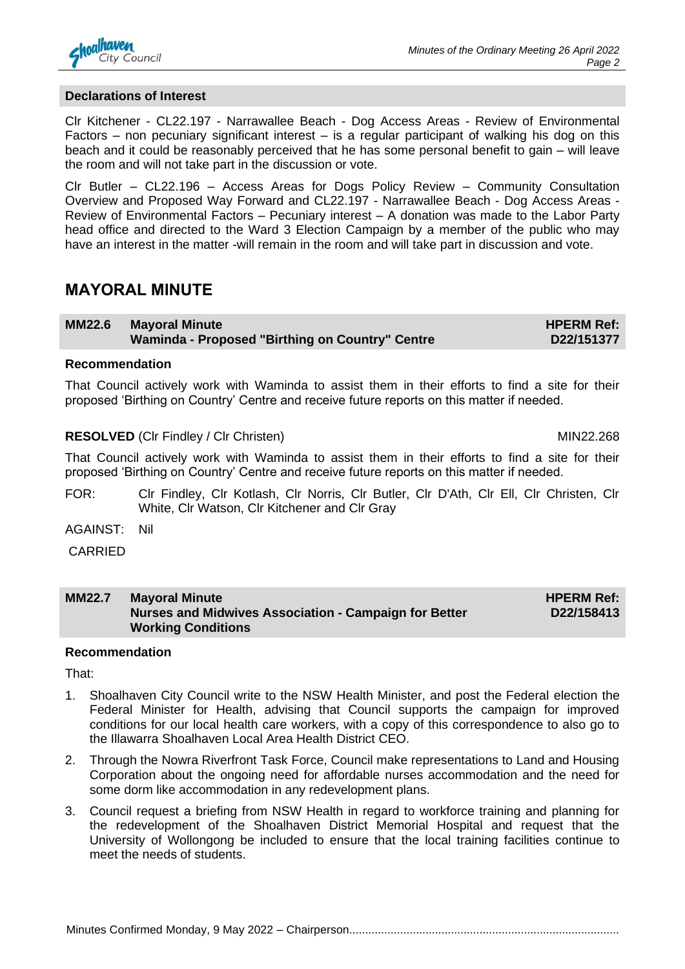

#### **Declarations of Interest**

Clr Kitchener - CL22.197 - Narrawallee Beach - Dog Access Areas - Review of Environmental Factors – non pecuniary significant interest – is a regular participant of walking his dog on this beach and it could be reasonably perceived that he has some personal benefit to gain – will leave the room and will not take part in the discussion or vote.

Clr Butler – CL22.196 – Access Areas for Dogs Policy Review – Community Consultation Overview and Proposed Way Forward and CL22.197 - Narrawallee Beach - Dog Access Areas - Review of Environmental Factors – Pecuniary interest – A donation was made to the Labor Party head office and directed to the Ward 3 Election Campaign by a member of the public who may have an interest in the matter -will remain in the room and will take part in discussion and vote.

### **MAYORAL MINUTE**

**MM22.6 Mayoral Minute Waminda - Proposed "Birthing on Country" Centre**

#### **Recommendation**

That Council actively work with Waminda to assist them in their efforts to find a site for their proposed 'Birthing on Country' Centre and receive future reports on this matter if needed.

#### **RESOLVED** (CIr Findley / CIr Christen) MIN22.268

That Council actively work with Waminda to assist them in their efforts to find a site for their proposed 'Birthing on Country' Centre and receive future reports on this matter if needed.

- FOR: Clr Findley, Clr Kotlash, Clr Norris, Clr Butler, Clr D'Ath, Clr Ell, Clr Christen, Clr White, Clr Watson, Clr Kitchener and Clr Gray
- AGAINST: Nil

CARRIED

| <b>MM22.7</b> | <b>Mayoral Minute</b>                                 | <b>HPERM Ref:</b> |
|---------------|-------------------------------------------------------|-------------------|
|               | Nurses and Midwives Association - Campaign for Better | D22/158413        |
|               | <b>Working Conditions</b>                             |                   |

#### **Recommendation**

That:

- 1. Shoalhaven City Council write to the NSW Health Minister, and post the Federal election the Federal Minister for Health, advising that Council supports the campaign for improved conditions for our local health care workers, with a copy of this correspondence to also go to the Illawarra Shoalhaven Local Area Health District CEO.
- 2. Through the Nowra Riverfront Task Force, Council make representations to Land and Housing Corporation about the ongoing need for affordable nurses accommodation and the need for some dorm like accommodation in any redevelopment plans.
- 3. Council request a briefing from NSW Health in regard to workforce training and planning for the redevelopment of the Shoalhaven District Memorial Hospital and request that the University of Wollongong be included to ensure that the local training facilities continue to meet the needs of students.

**HPERM Ref: D22/151377**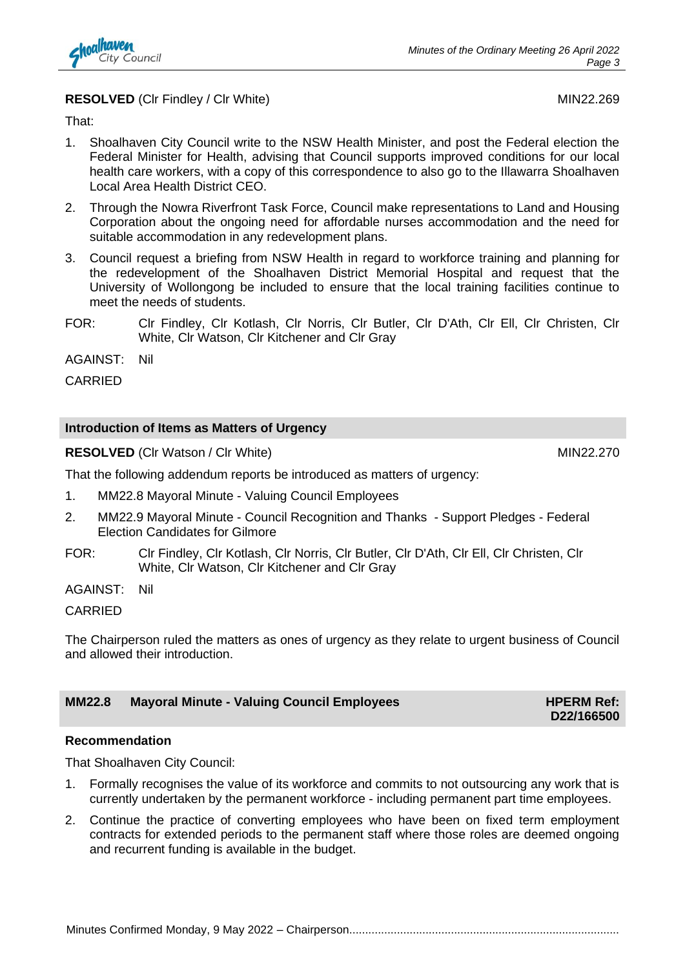

#### **RESOLVED** (CIr Findley / CIr White) MIN22.269

That:

- 1. Shoalhaven City Council write to the NSW Health Minister, and post the Federal election the Federal Minister for Health, advising that Council supports improved conditions for our local health care workers, with a copy of this correspondence to also go to the Illawarra Shoalhaven Local Area Health District CEO.
- 2. Through the Nowra Riverfront Task Force, Council make representations to Land and Housing Corporation about the ongoing need for affordable nurses accommodation and the need for suitable accommodation in any redevelopment plans.
- 3. Council request a briefing from NSW Health in regard to workforce training and planning for the redevelopment of the Shoalhaven District Memorial Hospital and request that the University of Wollongong be included to ensure that the local training facilities continue to meet the needs of students.
- FOR: Clr Findley, Clr Kotlash, Clr Norris, Clr Butler, Clr D'Ath, Clr Ell, Clr Christen, Clr White, Clr Watson, Clr Kitchener and Clr Gray

AGAINST: Nil

CARRIED

#### **Introduction of Items as Matters of Urgency**

**RESOLVED** (CIr Watson / CIr White) MIN22.270

**D22/166500**

That the following addendum reports be introduced as matters of urgency:

- 1. MM22.8 Mayoral Minute Valuing Council Employees
- 2. MM22.9 Mayoral Minute Council Recognition and Thanks Support Pledges Federal Election Candidates for Gilmore
- FOR: Clr Findley, Clr Kotlash, Clr Norris, Clr Butler, Clr D'Ath, Clr Ell, Clr Christen, Clr White, Clr Watson, Clr Kitchener and Clr Gray

AGAINST: Nil

CARRIED

The Chairperson ruled the matters as ones of urgency as they relate to urgent business of Council and allowed their introduction.

### **MM22.8 Mayoral Minute - Valuing Council Employees HPERM Ref: HPERM Ref:**

**Recommendation**

That Shoalhaven City Council:

- 1. Formally recognises the value of its workforce and commits to not outsourcing any work that is currently undertaken by the permanent workforce - including permanent part time employees.
- 2. Continue the practice of converting employees who have been on fixed term employment contracts for extended periods to the permanent staff where those roles are deemed ongoing and recurrent funding is available in the budget.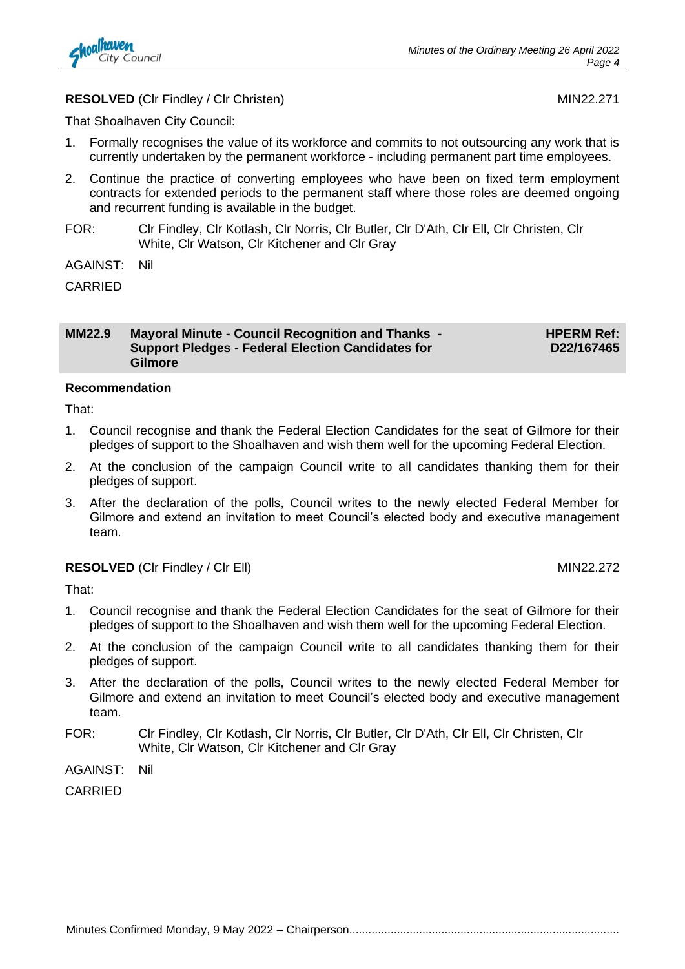

#### **RESOLVED** (CIr Findley / CIr Christen) MIN22.271

That Shoalhaven City Council:

- 1. Formally recognises the value of its workforce and commits to not outsourcing any work that is currently undertaken by the permanent workforce - including permanent part time employees.
- 2. Continue the practice of converting employees who have been on fixed term employment contracts for extended periods to the permanent staff where those roles are deemed ongoing and recurrent funding is available in the budget.
- FOR: Clr Findley, Clr Kotlash, Clr Norris, Clr Butler, Clr D'Ath, Clr Ell, Clr Christen, Clr White, Clr Watson, Clr Kitchener and Clr Gray
- AGAINST: Nil

CARRIED

#### **MM22.9 Mayoral Minute - Council Recognition and Thanks - Support Pledges - Federal Election Candidates for Gilmore**

**HPERM Ref: D22/167465**

#### **Recommendation**

That:

- 1. Council recognise and thank the Federal Election Candidates for the seat of Gilmore for their pledges of support to the Shoalhaven and wish them well for the upcoming Federal Election.
- 2. At the conclusion of the campaign Council write to all candidates thanking them for their pledges of support.
- 3. After the declaration of the polls, Council writes to the newly elected Federal Member for Gilmore and extend an invitation to meet Council's elected body and executive management team.

#### **RESOLVED** (CIr Findley / CIr Ell) MIN22.272

That:

- 1. Council recognise and thank the Federal Election Candidates for the seat of Gilmore for their pledges of support to the Shoalhaven and wish them well for the upcoming Federal Election.
- 2. At the conclusion of the campaign Council write to all candidates thanking them for their pledges of support.
- 3. After the declaration of the polls, Council writes to the newly elected Federal Member for Gilmore and extend an invitation to meet Council's elected body and executive management team.
- FOR: Clr Findley, Clr Kotlash, Clr Norris, Clr Butler, Clr D'Ath, Clr Ell, Clr Christen, Clr White, Clr Watson, Clr Kitchener and Clr Gray

AGAINST: Nil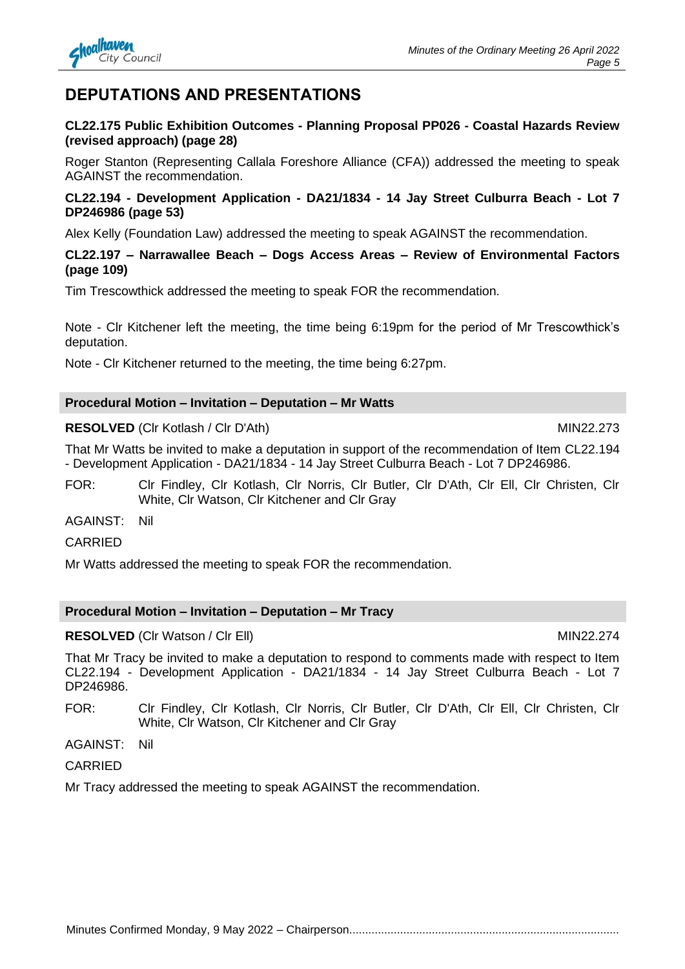## Minutes Confirmed Monday, 9 May 2022 – Chairperson.....................................................................................

## **DEPUTATIONS AND PRESENTATIONS**

### **CL22.175 Public Exhibition Outcomes - Planning Proposal PP026 - Coastal Hazards Review (revised approach) (page 28)**

Roger Stanton (Representing Callala Foreshore Alliance (CFA)) addressed the meeting to speak AGAINST the recommendation.

### **CL22.194 - Development Application - DA21/1834 - 14 Jay Street Culburra Beach - Lot 7 DP246986 (page 53)**

Alex Kelly (Foundation Law) addressed the meeting to speak AGAINST the recommendation.

### **CL22.197 – Narrawallee Beach – Dogs Access Areas – Review of Environmental Factors (page 109)**

Tim Trescowthick addressed the meeting to speak FOR the recommendation.

Note - Clr Kitchener left the meeting, the time being 6:19pm for the period of Mr Trescowthick's deputation.

Note - Clr Kitchener returned to the meeting, the time being 6:27pm.

### **Procedural Motion – Invitation – Deputation – Mr Watts**

### **RESOLVED** (Clr Kotlash / Clr D'Ath) MIN22.273

That Mr Watts be invited to make a deputation in support of the recommendation of Item CL22.194 - Development Application - DA21/1834 - 14 Jay Street Culburra Beach - Lot 7 DP246986.

FOR: Clr Findley, Clr Kotlash, Clr Norris, Clr Butler, Clr D'Ath, Clr Ell, Clr Christen, Clr White, Clr Watson, Clr Kitchener and Clr Gray

AGAINST: Nil

#### **CARRIED**

Mr Watts addressed the meeting to speak FOR the recommendation.

#### **Procedural Motion – Invitation – Deputation – Mr Tracy**

#### **RESOLVED** (CIr Watson / CIr Ell) MIN22.274

That Mr Tracy be invited to make a deputation to respond to comments made with respect to Item CL22.194 - Development Application - DA21/1834 - 14 Jay Street Culburra Beach - Lot 7 DP246986.

FOR: Clr Findley, Clr Kotlash, Clr Norris, Clr Butler, Clr D'Ath, Clr Ell, Clr Christen, Clr White, Clr Watson, Clr Kitchener and Clr Gray

AGAINST: Nil

#### CARRIED

Mr Tracy addressed the meeting to speak AGAINST the recommendation.

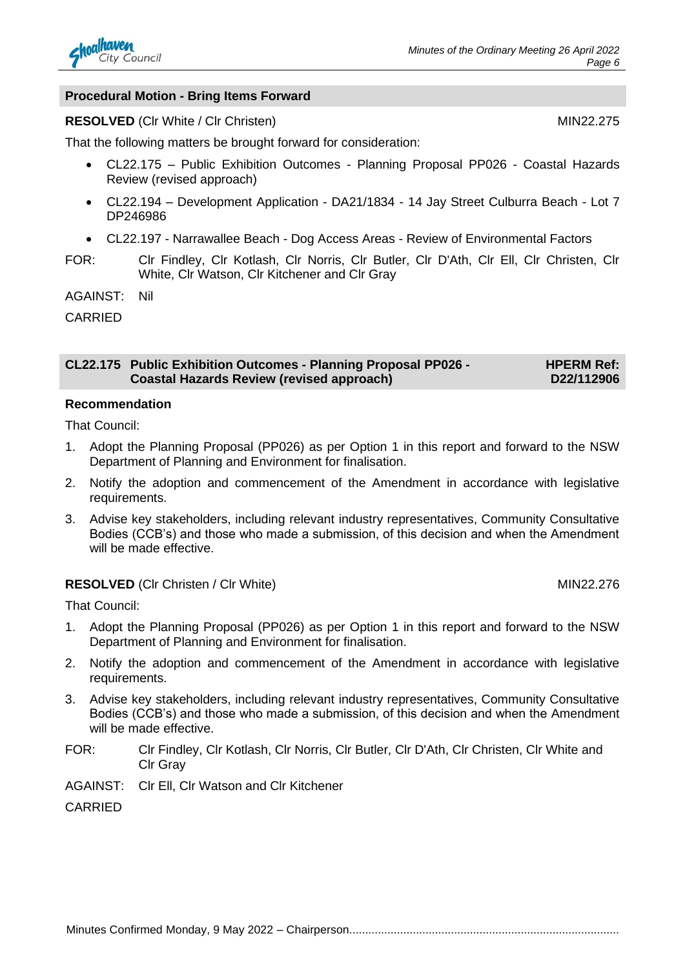

#### **Procedural Motion - Bring Items Forward**

#### **RESOLVED** (CIr White / CIr Christen) MIN22.275

That the following matters be brought forward for consideration:

- CL22.175 Public Exhibition Outcomes Planning Proposal PP026 Coastal Hazards Review (revised approach)
- CL22.194 Development Application DA21/1834 14 Jay Street Culburra Beach Lot 7 DP246986
- CL22.197 Narrawallee Beach Dog Access Areas Review of Environmental Factors
- FOR: Clr Findley, Clr Kotlash, Clr Norris, Clr Butler, Clr D'Ath, Clr Ell, Clr Christen, Clr White, Clr Watson, Clr Kitchener and Clr Gray

AGAINST: Nil

CARRIED

**CL22.175 Public Exhibition Outcomes - Planning Proposal PP026 - Coastal Hazards Review (revised approach) HPERM Ref: D22/112906**

#### **Recommendation**

That Council:

- 1. Adopt the Planning Proposal (PP026) as per Option 1 in this report and forward to the NSW Department of Planning and Environment for finalisation.
- 2. Notify the adoption and commencement of the Amendment in accordance with legislative requirements.
- 3. Advise key stakeholders, including relevant industry representatives, Community Consultative Bodies (CCB's) and those who made a submission, of this decision and when the Amendment will be made effective.

#### **RESOLVED** (CIr Christen / CIr White) MIN22.276

That Council:

- 1. Adopt the Planning Proposal (PP026) as per Option 1 in this report and forward to the NSW Department of Planning and Environment for finalisation.
- 2. Notify the adoption and commencement of the Amendment in accordance with legislative requirements.
- 3. Advise key stakeholders, including relevant industry representatives, Community Consultative Bodies (CCB's) and those who made a submission, of this decision and when the Amendment will be made effective.
- FOR: Clr Findley, Clr Kotlash, Clr Norris, Clr Butler, Clr D'Ath, Clr Christen, Clr White and Clr Gray
- AGAINST: Clr Ell, Clr Watson and Clr Kitchener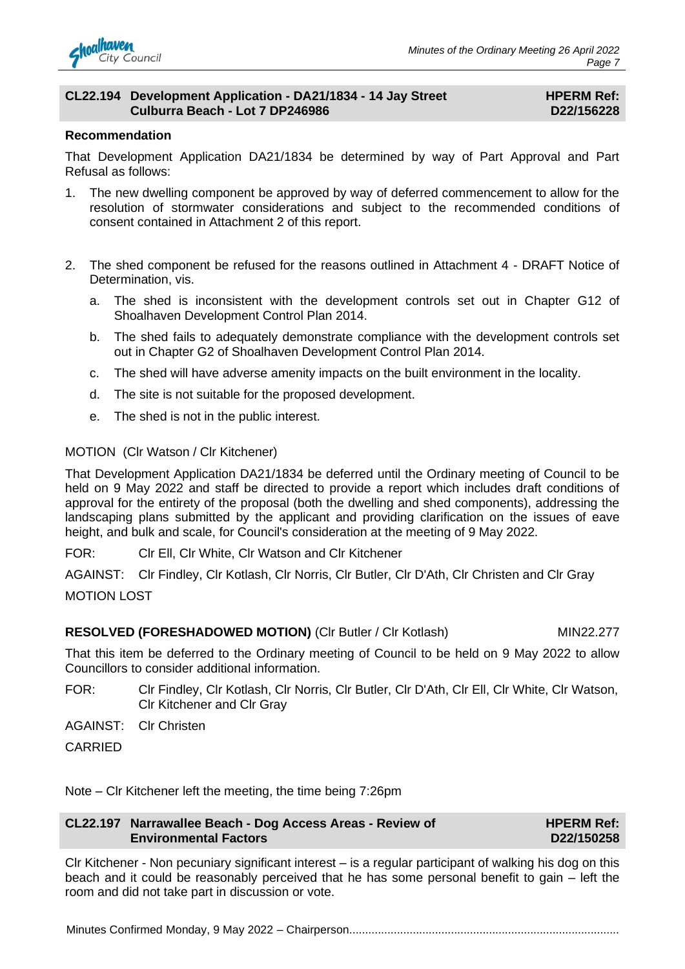

#### **CL22.194 Development Application - DA21/1834 - 14 Jay Street Culburra Beach - Lot 7 DP246986**

#### **HPERM Ref: D22/156228**

#### **Recommendation**

That Development Application DA21/1834 be determined by way of Part Approval and Part Refusal as follows:

- 1. The new dwelling component be approved by way of deferred commencement to allow for the resolution of stormwater considerations and subject to the recommended conditions of consent contained in Attachment 2 of this report.
- 2. The shed component be refused for the reasons outlined in Attachment 4 DRAFT Notice of Determination, vis.
	- a. The shed is inconsistent with the development controls set out in Chapter G12 of Shoalhaven Development Control Plan 2014.
	- b. The shed fails to adequately demonstrate compliance with the development controls set out in Chapter G2 of Shoalhaven Development Control Plan 2014.
	- c. The shed will have adverse amenity impacts on the built environment in the locality.
	- d. The site is not suitable for the proposed development.
	- e. The shed is not in the public interest.

#### MOTION (Clr Watson / Clr Kitchener)

That Development Application DA21/1834 be deferred until the Ordinary meeting of Council to be held on 9 May 2022 and staff be directed to provide a report which includes draft conditions of approval for the entirety of the proposal (both the dwelling and shed components), addressing the landscaping plans submitted by the applicant and providing clarification on the issues of eave height, and bulk and scale, for Council's consideration at the meeting of 9 May 2022.

FOR: Clr Ell, Clr White, Clr Watson and Clr Kitchener

AGAINST: Clr Findley, Clr Kotlash, Clr Norris, Clr Butler, Clr D'Ath, Clr Christen and Clr Gray MOTION LOST

#### **RESOLVED (FORESHADOWED MOTION)** (CIr Butler / CIr Kotlash) MIN22.277

That this item be deferred to the Ordinary meeting of Council to be held on 9 May 2022 to allow Councillors to consider additional information.

- FOR: Clr Findley, Clr Kotlash, Clr Norris, Clr Butler, Clr D'Ath, Clr Ell, Clr White, Clr Watson, Clr Kitchener and Clr Gray
- AGAINST: Clr Christen

CARRIED

Note – Clr Kitchener left the meeting, the time being 7:26pm

#### **CL22.197 Narrawallee Beach - Dog Access Areas - Review of Environmental Factors**

#### **HPERM Ref: D22/150258**

Clr Kitchener - Non pecuniary significant interest – is a regular participant of walking his dog on this beach and it could be reasonably perceived that he has some personal benefit to gain – left the room and did not take part in discussion or vote.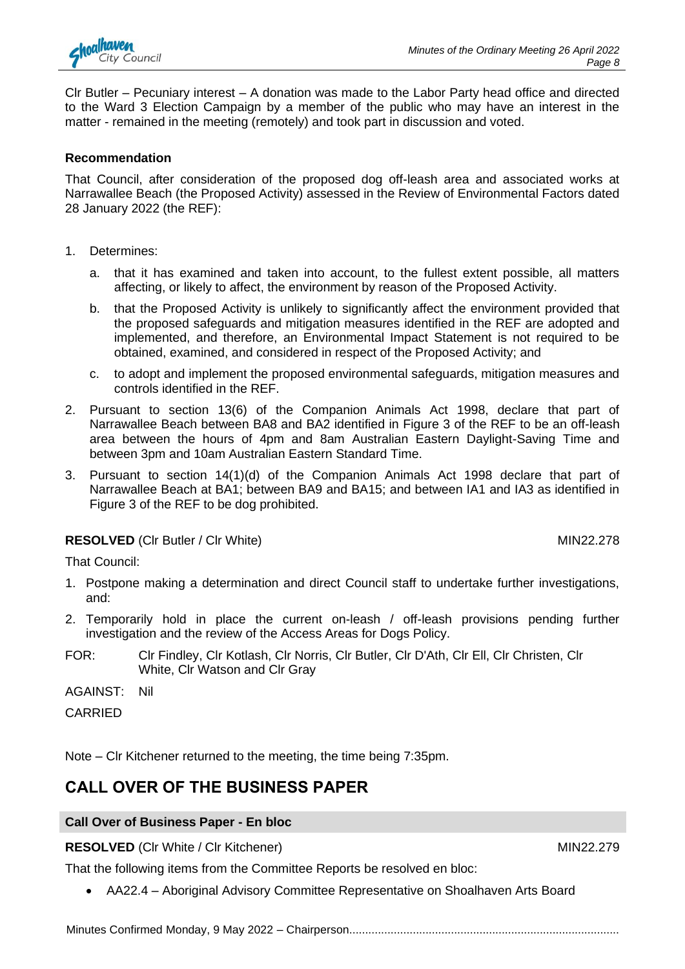

Clr Butler – Pecuniary interest – A donation was made to the Labor Party head office and directed to the Ward 3 Election Campaign by a member of the public who may have an interest in the matter - remained in the meeting (remotely) and took part in discussion and voted.

#### **Recommendation**

That Council, after consideration of the proposed dog off-leash area and associated works at Narrawallee Beach (the Proposed Activity) assessed in the Review of Environmental Factors dated 28 January 2022 (the REF):

- 1. Determines:
	- a. that it has examined and taken into account, to the fullest extent possible, all matters affecting, or likely to affect, the environment by reason of the Proposed Activity.
	- b. that the Proposed Activity is unlikely to significantly affect the environment provided that the proposed safeguards and mitigation measures identified in the REF are adopted and implemented, and therefore, an Environmental Impact Statement is not required to be obtained, examined, and considered in respect of the Proposed Activity; and
	- c. to adopt and implement the proposed environmental safeguards, mitigation measures and controls identified in the REF.
- 2. Pursuant to section 13(6) of the Companion Animals Act 1998, declare that part of Narrawallee Beach between BA8 and BA2 identified in Figure 3 of the REF to be an off-leash area between the hours of 4pm and 8am Australian Eastern Daylight-Saving Time and between 3pm and 10am Australian Eastern Standard Time.
- 3. Pursuant to section 14(1)(d) of the Companion Animals Act 1998 declare that part of Narrawallee Beach at BA1; between BA9 and BA15; and between IA1 and IA3 as identified in Figure 3 of the REF to be dog prohibited.

#### **RESOLVED** (CIr Butler / CIr White) MIN22.278

That Council:

- 1. Postpone making a determination and direct Council staff to undertake further investigations, and:
- 2. Temporarily hold in place the current on-leash / off-leash provisions pending further investigation and the review of the Access Areas for Dogs Policy.
- FOR: Clr Findley, Clr Kotlash, Clr Norris, Clr Butler, Clr D'Ath, Clr Ell, Clr Christen, Clr White, Clr Watson and Clr Gray

AGAINST: Nil

CARRIED

Note – Clr Kitchener returned to the meeting, the time being 7:35pm.

### **CALL OVER OF THE BUSINESS PAPER**

#### **Call Over of Business Paper - En bloc**

**RESOLVED** (Clr White / Clr Kitchener) MIN22.279

That the following items from the Committee Reports be resolved en bloc:

• AA22.4 – Aboriginal Advisory Committee Representative on Shoalhaven Arts Board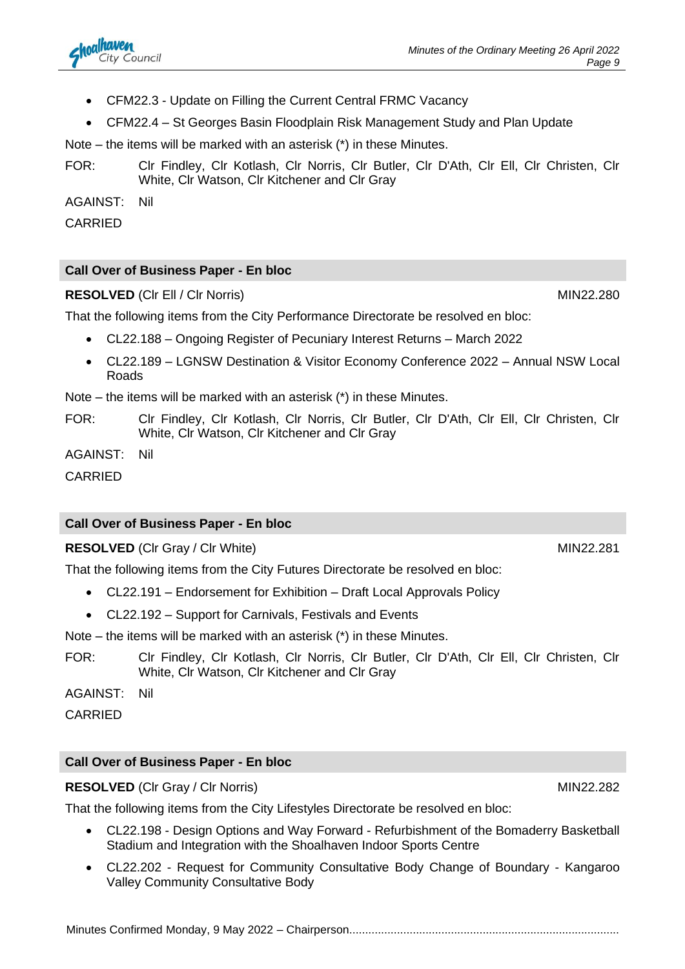- CFM22.3 Update on Filling the Current Central FRMC Vacancy
- CFM22.4 St Georges Basin Floodplain Risk Management Study and Plan Update

Note – the items will be marked with an asterisk (\*) in these Minutes.

FOR: Clr Findley, Clr Kotlash, Clr Norris, Clr Butler, Clr D'Ath, Clr Ell, Clr Christen, Clr White, Clr Watson, Clr Kitchener and Clr Gray

AGAINST: Nil

CARRIED

#### **Call Over of Business Paper - En bloc**

#### **RESOLVED** (CIr Ell / CIr Norris) MIN22.280

That the following items from the City Performance Directorate be resolved en bloc:

- CL22.188 Ongoing Register of Pecuniary Interest Returns March 2022
- CL22.189 LGNSW Destination & Visitor Economy Conference 2022 Annual NSW Local Roads

Note – the items will be marked with an asterisk (\*) in these Minutes.

FOR: Clr Findley, Clr Kotlash, Clr Norris, Clr Butler, Clr D'Ath, Clr Ell, Clr Christen, Clr White, Clr Watson, Clr Kitchener and Clr Gray

AGAINST: Nil

CARRIED

#### **Call Over of Business Paper - En bloc**

**RESOLVED** (CIr Gray / CIr White) MIN22.281

That the following items from the City Futures Directorate be resolved en bloc:

- CL22.191 Endorsement for Exhibition Draft Local Approvals Policy
- CL22.192 Support for Carnivals, Festivals and Events

Note – the items will be marked with an asterisk (\*) in these Minutes.

FOR: Clr Findley, Clr Kotlash, Clr Norris, Clr Butler, Clr D'Ath, Clr Ell, Clr Christen, Clr White, Clr Watson, Clr Kitchener and Clr Gray

AGAINST: Nil

CARRIED

#### **Call Over of Business Paper - En bloc**

#### **RESOLVED** (CIr Gray / CIr Norris) MIN22.282

That the following items from the City Lifestyles Directorate be resolved en bloc:

- CL22.198 Design Options and Way Forward Refurbishment of the Bomaderry Basketball Stadium and Integration with the Shoalhaven Indoor Sports Centre
- CL22.202 Request for Community Consultative Body Change of Boundary Kangaroo Valley Community Consultative Body

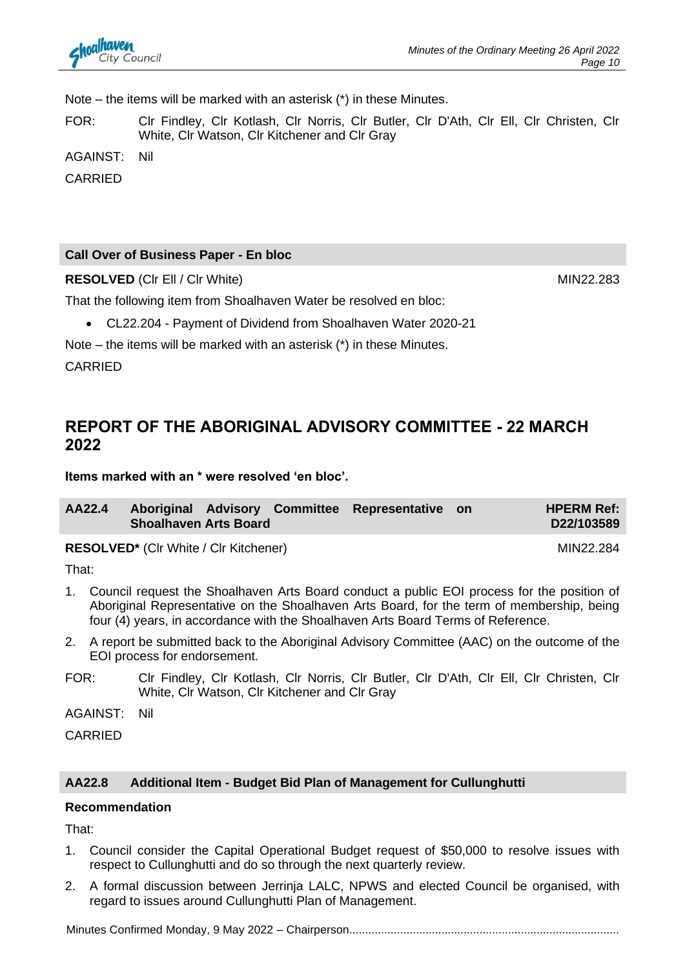

Note – the items will be marked with an asterisk (\*) in these Minutes.

FOR: Clr Findley, Clr Kotlash, Clr Norris, Clr Butler, Clr D'Ath, Clr Ell, Clr Christen, Clr White, Clr Watson, Clr Kitchener and Clr Gray

AGAINST: Nil

CARRIED

#### **Call Over of Business Paper - En bloc**

**RESOLVED** (CIr Ell / CIr White) MIN22.283

That the following item from Shoalhaven Water be resolved en bloc:

• CL22.204 - Payment of Dividend from Shoalhaven Water 2020-21

Note – the items will be marked with an asterisk (\*) in these Minutes.

CARRIED

### **REPORT OF THE ABORIGINAL ADVISORY COMMITTEE - 22 MARCH 2022**

**Items marked with an \* were resolved 'en bloc'.**

| <b>Shoalhaven Arts Board</b> |  | AA22.4 Aboriginal Advisory Committee Representative on | <b>HPERM Ref:</b><br>D22/103589 |
|------------------------------|--|--------------------------------------------------------|---------------------------------|
|                              |  |                                                        |                                 |

**RESOLVED\*** (CIr White / CIr Kitchener) MIN22.284

That:

- 1. Council request the Shoalhaven Arts Board conduct a public EOI process for the position of Aboriginal Representative on the Shoalhaven Arts Board, for the term of membership, being four (4) years, in accordance with the Shoalhaven Arts Board Terms of Reference.
- 2. A report be submitted back to the Aboriginal Advisory Committee (AAC) on the outcome of the EOI process for endorsement.
- FOR: Clr Findley, Clr Kotlash, Clr Norris, Clr Butler, Clr D'Ath, Clr Ell, Clr Christen, Clr White, Clr Watson, Clr Kitchener and Clr Gray

AGAINST: Nil

CARRIED

#### **AA22.8 Additional Item - Budget Bid Plan of Management for Cullunghutti**

#### **Recommendation**

That:

- 1. Council consider the Capital Operational Budget request of \$50,000 to resolve issues with respect to Cullunghutti and do so through the next quarterly review.
- 2. A formal discussion between Jerrinja LALC, NPWS and elected Council be organised, with regard to issues around Cullunghutti Plan of Management.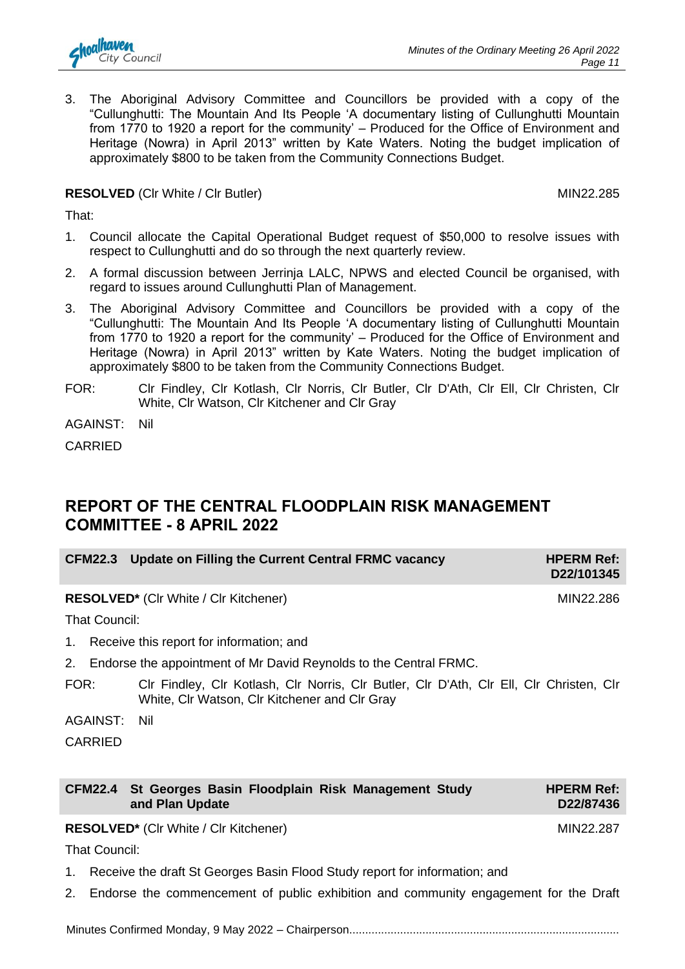

3. The Aboriginal Advisory Committee and Councillors be provided with a copy of the "Cullunghutti: The Mountain And Its People 'A documentary listing of Cullunghutti Mountain from 1770 to 1920 a report for the community' – Produced for the Office of Environment and Heritage (Nowra) in April 2013" written by Kate Waters. Noting the budget implication of approximately \$800 to be taken from the Community Connections Budget.

#### **RESOLVED** (CIr White / CIr Butler) MIN22.285

That:

- 1. Council allocate the Capital Operational Budget request of \$50,000 to resolve issues with respect to Cullunghutti and do so through the next quarterly review.
- 2. A formal discussion between Jerrinja LALC, NPWS and elected Council be organised, with regard to issues around Cullunghutti Plan of Management.
- 3. The Aboriginal Advisory Committee and Councillors be provided with a copy of the "Cullunghutti: The Mountain And Its People 'A documentary listing of Cullunghutti Mountain from 1770 to 1920 a report for the community' – Produced for the Office of Environment and Heritage (Nowra) in April 2013" written by Kate Waters. Noting the budget implication of approximately \$800 to be taken from the Community Connections Budget.
- FOR: Clr Findley, Clr Kotlash, Clr Norris, Clr Butler, Clr D'Ath, Clr Ell, Clr Christen, Clr White, Clr Watson, Clr Kitchener and Clr Gray

AGAINST: Nil

CARRIED

## **REPORT OF THE CENTRAL FLOODPLAIN RISK MANAGEMENT COMMITTEE - 8 APRIL 2022**

| CFM22.3 Update on Filling the Current Central FRMC vacancy | <b>HPERM Ref:</b><br>D22/101345 |
|------------------------------------------------------------|---------------------------------|
|                                                            |                                 |

**RESOLVED\*** (Clr White / Clr Kitchener) MIN22.286

That Council:

1. Receive this report for information; and

2. Endorse the appointment of Mr David Reynolds to the Central FRMC.

FOR: Clr Findley, Clr Kotlash, Clr Norris, Clr Butler, Clr D'Ath, Clr Ell, Clr Christen, Clr White, Clr Watson, Clr Kitchener and Clr Gray

AGAINST: Nil

CARRIED

| CFM22.4 St Georges Basin Floodplain Risk Management Study<br>and Plan Update | <b>HPERM Ref:</b><br>D22/87436 |
|------------------------------------------------------------------------------|--------------------------------|
|                                                                              |                                |

#### **RESOLVED\*** (CIr White / CIr Kitchener) MIN22.287

That Council:

- 1. Receive the draft St Georges Basin Flood Study report for information; and
- 2. Endorse the commencement of public exhibition and community engagement for the Draft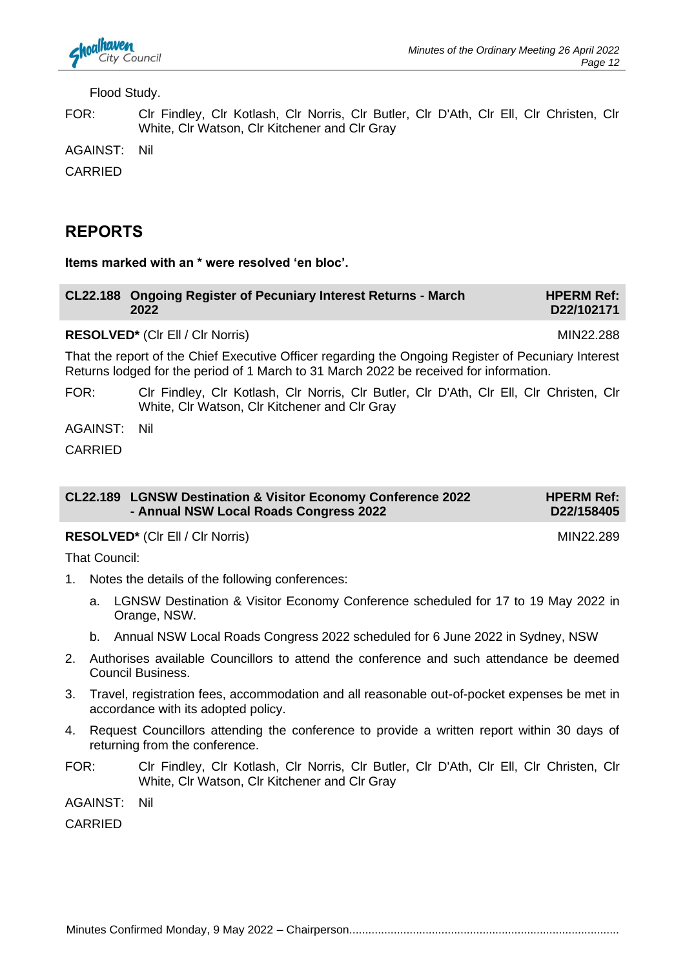Flood Study.

FOR: Clr Findley, Clr Kotlash, Clr Norris, Clr Butler, Clr D'Ath, Clr Ell, Clr Christen, Clr White, Clr Watson, Clr Kitchener and Clr Gray

AGAINST: Nil

CARRIED

### **REPORTS**

**Items marked with an \* were resolved 'en bloc'.**

| CL22.188 Ongoing Register of Pecuniary Interest Returns - March | <b>HPERM Ref:</b> |
|-----------------------------------------------------------------|-------------------|
| 2022                                                            | D22/102171        |

RESOLVED<sup>\*</sup> (Clr Ell / Clr Norris) MIN22.288

That the report of the Chief Executive Officer regarding the Ongoing Register of Pecuniary Interest Returns lodged for the period of 1 March to 31 March 2022 be received for information.

FOR: Clr Findley, Clr Kotlash, Clr Norris, Clr Butler, Clr D'Ath, Clr Ell, Clr Christen, Clr White, Clr Watson, Clr Kitchener and Clr Gray

AGAINST: Nil

CARRIED

| CL22.189 LGNSW Destination & Visitor Economy Conference 2022<br>- Annual NSW Local Roads Congress 2022 | <b>HPERM Ref:</b><br>D22/158405 |
|--------------------------------------------------------------------------------------------------------|---------------------------------|
|                                                                                                        |                                 |

**RESOLVED<sup>\*</sup>** (CIr Ell / CIr Norris) MIN22.289

That Council:

- 1. Notes the details of the following conferences:
	- a. LGNSW Destination & Visitor Economy Conference scheduled for 17 to 19 May 2022 in Orange, NSW.
	- b. Annual NSW Local Roads Congress 2022 scheduled for 6 June 2022 in Sydney, NSW
- 2. Authorises available Councillors to attend the conference and such attendance be deemed Council Business.
- 3. Travel, registration fees, accommodation and all reasonable out-of-pocket expenses be met in accordance with its adopted policy.
- 4. Request Councillors attending the conference to provide a written report within 30 days of returning from the conference.
- FOR: Clr Findley, Clr Kotlash, Clr Norris, Clr Butler, Clr D'Ath, Clr Ell, Clr Christen, Clr White, Clr Watson, Clr Kitchener and Clr Gray

AGAINST: Nil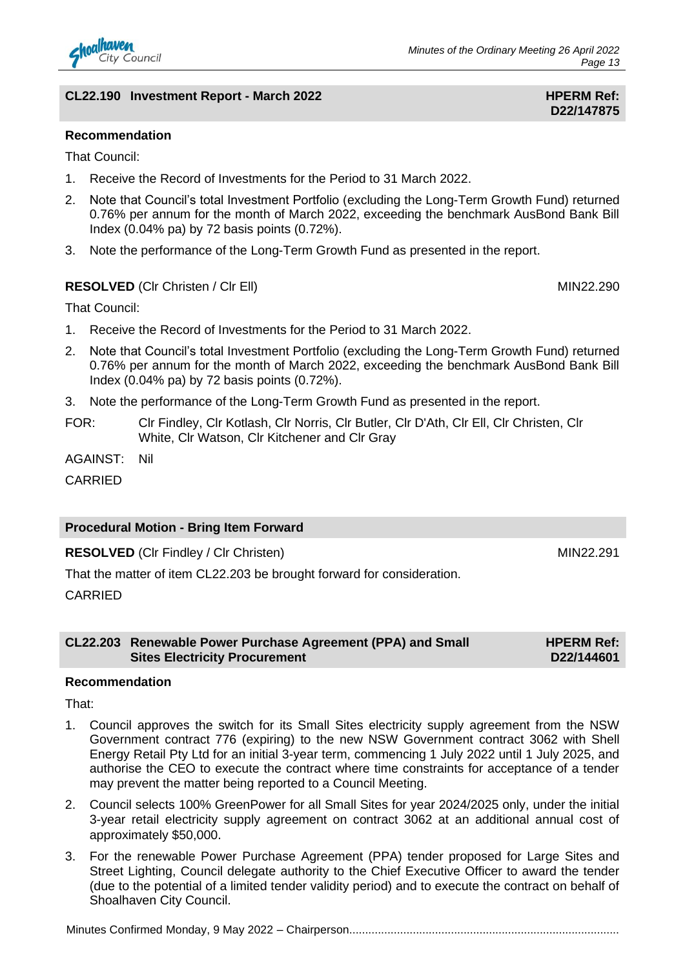

#### **CL22.190** Investment Report - March 2022 **HPERM Ref: HPERM Ref:**

**D22/147875**

#### **Recommendation**

That Council:

- 1. Receive the Record of Investments for the Period to 31 March 2022.
- 2. Note that Council's total Investment Portfolio (excluding the Long-Term Growth Fund) returned 0.76% per annum for the month of March 2022, exceeding the benchmark AusBond Bank Bill Index (0.04% pa) by 72 basis points (0.72%).
- 3. Note the performance of the Long-Term Growth Fund as presented in the report.

#### **RESOLVED** (CIr Christen / CIr Ell) **MIN22.290**

That Council:

- 1. Receive the Record of Investments for the Period to 31 March 2022.
- 2. Note that Council's total Investment Portfolio (excluding the Long-Term Growth Fund) returned 0.76% per annum for the month of March 2022, exceeding the benchmark AusBond Bank Bill Index (0.04% pa) by 72 basis points (0.72%).
- 3. Note the performance of the Long-Term Growth Fund as presented in the report.
- FOR: Clr Findley, Clr Kotlash, Clr Norris, Clr Butler, Clr D'Ath, Clr Ell, Clr Christen, Clr White, Clr Watson, Clr Kitchener and Clr Gray

AGAINST: Nil

CARRIED

#### **Procedural Motion - Bring Item Forward**

**RESOLVED** (CIr Findley / CIr Christen) MIN22.291

That the matter of item CL22.203 be brought forward for consideration.

CARRIED

#### **CL22.203 Renewable Power Purchase Agreement (PPA) and Small Sites Electricity Procurement**

#### **Recommendation**

That:

- 1. Council approves the switch for its Small Sites electricity supply agreement from the NSW Government contract 776 (expiring) to the new NSW Government contract 3062 with Shell Energy Retail Pty Ltd for an initial 3-year term, commencing 1 July 2022 until 1 July 2025, and authorise the CEO to execute the contract where time constraints for acceptance of a tender may prevent the matter being reported to a Council Meeting.
- 2. Council selects 100% GreenPower for all Small Sites for year 2024/2025 only, under the initial 3-year retail electricity supply agreement on contract 3062 at an additional annual cost of approximately \$50,000.
- 3. For the renewable Power Purchase Agreement (PPA) tender proposed for Large Sites and Street Lighting, Council delegate authority to the Chief Executive Officer to award the tender (due to the potential of a limited tender validity period) and to execute the contract on behalf of Shoalhaven City Council.

Minutes Confirmed Monday, 9 May 2022 – Chairperson.....................................................................................

**HPERM Ref: D22/144601**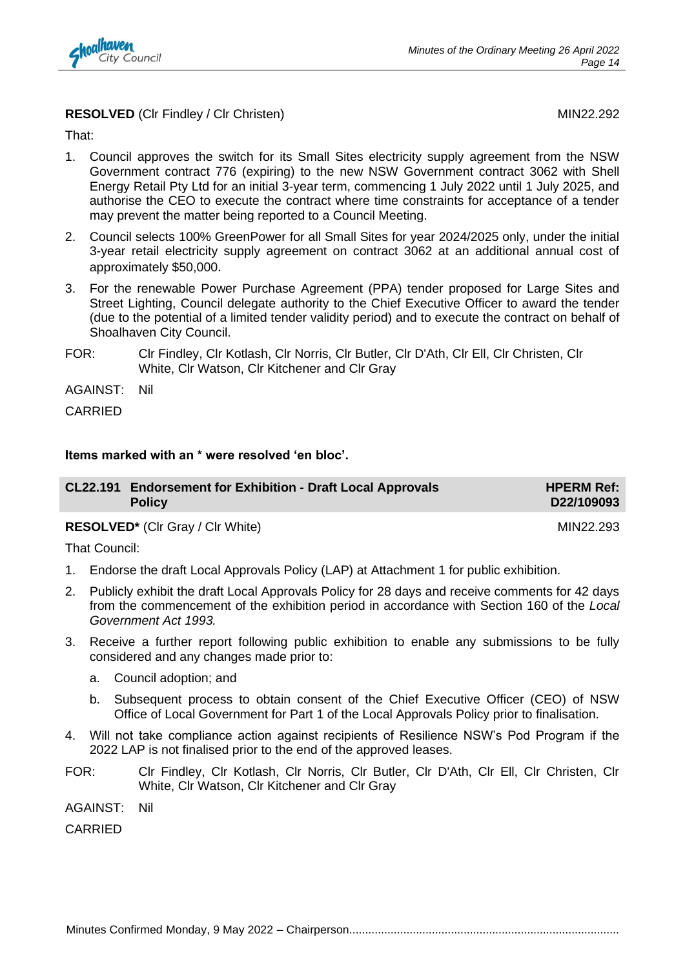

#### **RESOLVED** (CIr Findley / CIr Christen) MIN22.292

That:

- 1. Council approves the switch for its Small Sites electricity supply agreement from the NSW Government contract 776 (expiring) to the new NSW Government contract 3062 with Shell Energy Retail Pty Ltd for an initial 3-year term, commencing 1 July 2022 until 1 July 2025, and authorise the CEO to execute the contract where time constraints for acceptance of a tender may prevent the matter being reported to a Council Meeting.
- 2. Council selects 100% GreenPower for all Small Sites for year 2024/2025 only, under the initial 3-year retail electricity supply agreement on contract 3062 at an additional annual cost of approximately \$50,000.
- 3. For the renewable Power Purchase Agreement (PPA) tender proposed for Large Sites and Street Lighting, Council delegate authority to the Chief Executive Officer to award the tender (due to the potential of a limited tender validity period) and to execute the contract on behalf of Shoalhaven City Council.
- FOR: Clr Findley, Clr Kotlash, Clr Norris, Clr Butler, Clr D'Ath, Clr Ell, Clr Christen, Clr White, Clr Watson, Clr Kitchener and Clr Gray

AGAINST: Nil

CARRIED

#### **Items marked with an \* were resolved 'en bloc'.**

| CL22.191 Endorsement for Exhibition - Draft Local Approvals<br><b>Policy</b> | <b>HPERM Ref:</b><br>D22/109093 |
|------------------------------------------------------------------------------|---------------------------------|
|                                                                              |                                 |

**RESOLVED<sup>\*</sup>** (Clr Gray / Clr White) MIN22.293

That Council:

- 1. Endorse the draft Local Approvals Policy (LAP) at Attachment 1 for public exhibition.
- 2. Publicly exhibit the draft Local Approvals Policy for 28 days and receive comments for 42 days from the commencement of the exhibition period in accordance with Section 160 of the *Local Government Act 1993.*
- 3. Receive a further report following public exhibition to enable any submissions to be fully considered and any changes made prior to:
	- a. Council adoption; and
	- b. Subsequent process to obtain consent of the Chief Executive Officer (CEO) of NSW Office of Local Government for Part 1 of the Local Approvals Policy prior to finalisation.
- 4. Will not take compliance action against recipients of Resilience NSW's Pod Program if the 2022 LAP is not finalised prior to the end of the approved leases.
- FOR: Clr Findley, Clr Kotlash, Clr Norris, Clr Butler, Clr D'Ath, Clr Ell, Clr Christen, Clr White, Clr Watson, Clr Kitchener and Clr Gray
- AGAINST: Nil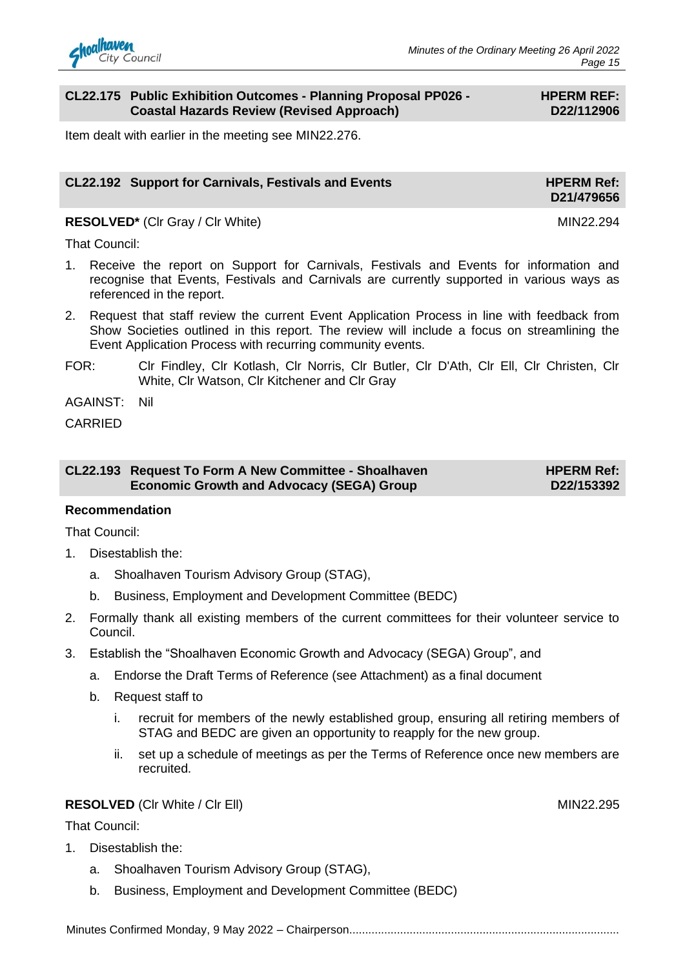#### **CL22.175 Public Exhibition Outcomes - Planning Proposal PP026 - Coastal Hazards Review (Revised Approach)**

#### **HPERM REF: D22/112906**

Item dealt with earlier in the meeting see MIN22.276.

#### **CL22.192 Support for Carnivals, Festivals and Events HPERM Ref: HPERM Ref:**

**RESOLVED<sup>\*</sup>** (Clr Gray / Clr White) MIN22.294

**D21/479656**

That Council:

- 1. Receive the report on Support for Carnivals, Festivals and Events for information and recognise that Events, Festivals and Carnivals are currently supported in various ways as referenced in the report.
- 2. Request that staff review the current Event Application Process in line with feedback from Show Societies outlined in this report. The review will include a focus on streamlining the Event Application Process with recurring community events.
- FOR: Clr Findley, Clr Kotlash, Clr Norris, Clr Butler, Clr D'Ath, Clr Ell, Clr Christen, Clr White, Clr Watson, Clr Kitchener and Clr Gray

AGAINST: Nil

CARRIED

| CL22.193 Request To Form A New Committee - Shoalhaven | <b>HPERM Ref:</b> |
|-------------------------------------------------------|-------------------|
| <b>Economic Growth and Advocacy (SEGA) Group</b>      | D22/153392        |

#### **Recommendation**

That Council:

- 1. Disestablish the:
	- a. Shoalhaven Tourism Advisory Group (STAG),
	- b. Business, Employment and Development Committee (BEDC)
- 2. Formally thank all existing members of the current committees for their volunteer service to Council.
- 3. Establish the "Shoalhaven Economic Growth and Advocacy (SEGA) Group", and
	- a. Endorse the Draft Terms of Reference (see Attachment) as a final document
	- b. Request staff to
		- i. recruit for members of the newly established group, ensuring all retiring members of STAG and BEDC are given an opportunity to reapply for the new group.
		- ii. set up a schedule of meetings as per the Terms of Reference once new members are recruited.

#### **RESOLVED** (CIr White / CIr Ell) MIN22.295

That Council:

- 1. Disestablish the:
	- a. Shoalhaven Tourism Advisory Group (STAG),
	- b. Business, Employment and Development Committee (BEDC)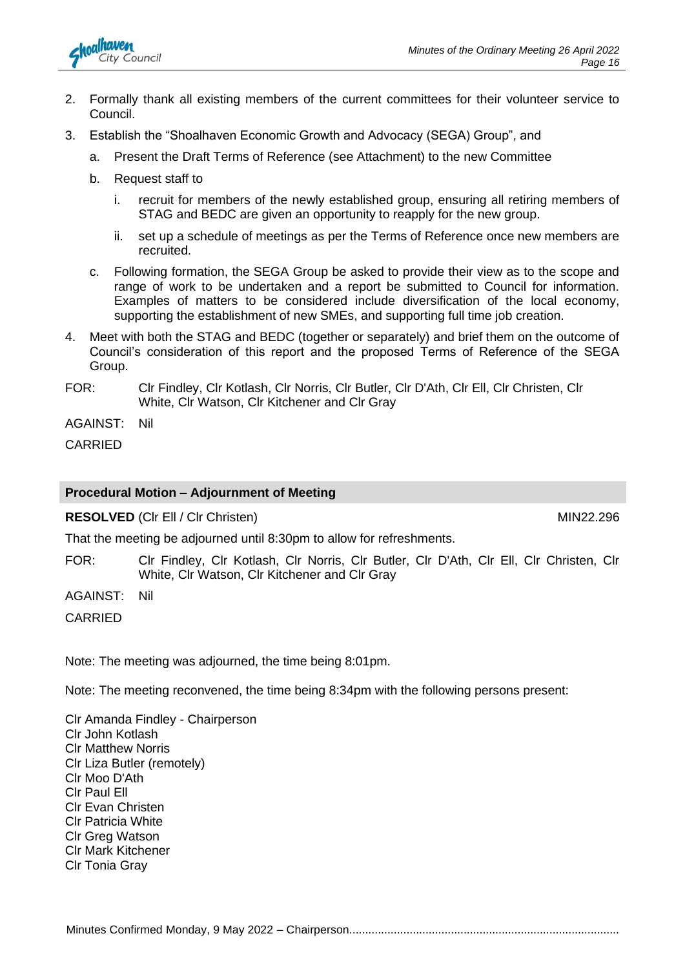

- 2. Formally thank all existing members of the current committees for their volunteer service to Council.
- 3. Establish the "Shoalhaven Economic Growth and Advocacy (SEGA) Group", and
	- a. Present the Draft Terms of Reference (see Attachment) to the new Committee
	- b. Request staff to
		- i. recruit for members of the newly established group, ensuring all retiring members of STAG and BEDC are given an opportunity to reapply for the new group.
		- ii. set up a schedule of meetings as per the Terms of Reference once new members are recruited.
	- c. Following formation, the SEGA Group be asked to provide their view as to the scope and range of work to be undertaken and a report be submitted to Council for information. Examples of matters to be considered include diversification of the local economy, supporting the establishment of new SMEs, and supporting full time job creation.
- 4. Meet with both the STAG and BEDC (together or separately) and brief them on the outcome of Council's consideration of this report and the proposed Terms of Reference of the SEGA Group.
- FOR: Clr Findley, Clr Kotlash, Clr Norris, Clr Butler, Clr D'Ath, Clr Ell, Clr Christen, Clr White, Clr Watson, Clr Kitchener and Clr Gray

AGAINST: Nil

CARRIED

#### **Procedural Motion – Adjournment of Meeting**

**RESOLVED** (CIr Ell / CIr Christen) MIN22.296

That the meeting be adjourned until 8:30pm to allow for refreshments.

FOR: Clr Findley, Clr Kotlash, Clr Norris, Clr Butler, Clr D'Ath, Clr Ell, Clr Christen, Clr White, Clr Watson, Clr Kitchener and Clr Gray

AGAINST: Nil

CARRIED

Note: The meeting was adjourned, the time being 8:01pm.

Note: The meeting reconvened, the time being 8:34pm with the following persons present:

Clr Amanda Findley - Chairperson Clr John Kotlash Clr Matthew Norris Clr Liza Butler (remotely) Clr Moo D'Ath Clr Paul Ell Clr Evan Christen Clr Patricia White Clr Greg Watson Clr Mark Kitchener Clr Tonia Gray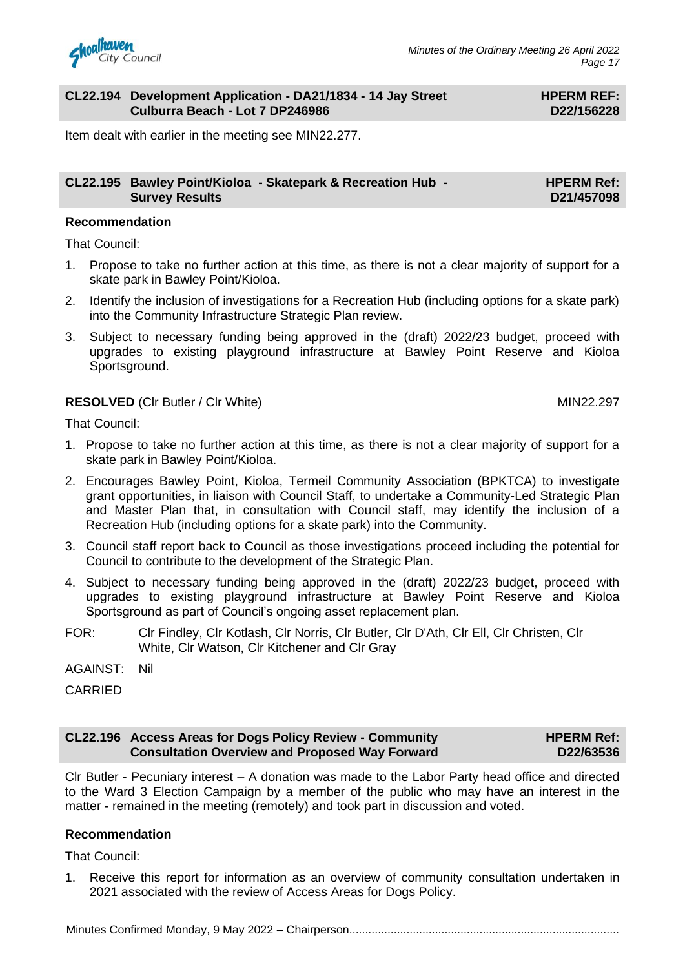

#### **CL22.194 Development Application - DA21/1834 - 14 Jay Street Culburra Beach - Lot 7 DP246986**

#### **HPERM REF: D22/156228**

Item dealt with earlier in the meeting see MIN22.277.

#### **CL22.195 Bawley Point/Kioloa - Skatepark & Recreation Hub - Survey Results HPERM Ref: D21/457098**

#### **Recommendation**

That Council:

- 1. Propose to take no further action at this time, as there is not a clear majority of support for a skate park in Bawley Point/Kioloa.
- 2. Identify the inclusion of investigations for a Recreation Hub (including options for a skate park) into the Community Infrastructure Strategic Plan review.
- 3. Subject to necessary funding being approved in the (draft) 2022/23 budget, proceed with upgrades to existing playground infrastructure at Bawley Point Reserve and Kioloa Sportsground.

#### **RESOLVED** (CIr Butler / CIr White) MIN22.297

That Council:

- 1. Propose to take no further action at this time, as there is not a clear majority of support for a skate park in Bawley Point/Kioloa.
- 2. Encourages Bawley Point, Kioloa, Termeil Community Association (BPKTCA) to investigate grant opportunities, in liaison with Council Staff, to undertake a Community-Led Strategic Plan and Master Plan that, in consultation with Council staff, may identify the inclusion of a Recreation Hub (including options for a skate park) into the Community.
- 3. Council staff report back to Council as those investigations proceed including the potential for Council to contribute to the development of the Strategic Plan.
- 4. Subject to necessary funding being approved in the (draft) 2022/23 budget, proceed with upgrades to existing playground infrastructure at Bawley Point Reserve and Kioloa Sportsground as part of Council's ongoing asset replacement plan.
- FOR: Clr Findley, Clr Kotlash, Clr Norris, Clr Butler, Clr D'Ath, Clr Ell, Clr Christen, Clr White, Clr Watson, Clr Kitchener and Clr Gray

AGAINST: Nil

**CARRIED** 

#### **CL22.196 Access Areas for Dogs Policy Review - Community Consultation Overview and Proposed Way Forward HPERM Ref: D22/63536**

Clr Butler - Pecuniary interest – A donation was made to the Labor Party head office and directed to the Ward 3 Election Campaign by a member of the public who may have an interest in the matter - remained in the meeting (remotely) and took part in discussion and voted.

#### **Recommendation**

That Council:

1. Receive this report for information as an overview of community consultation undertaken in 2021 associated with the review of Access Areas for Dogs Policy.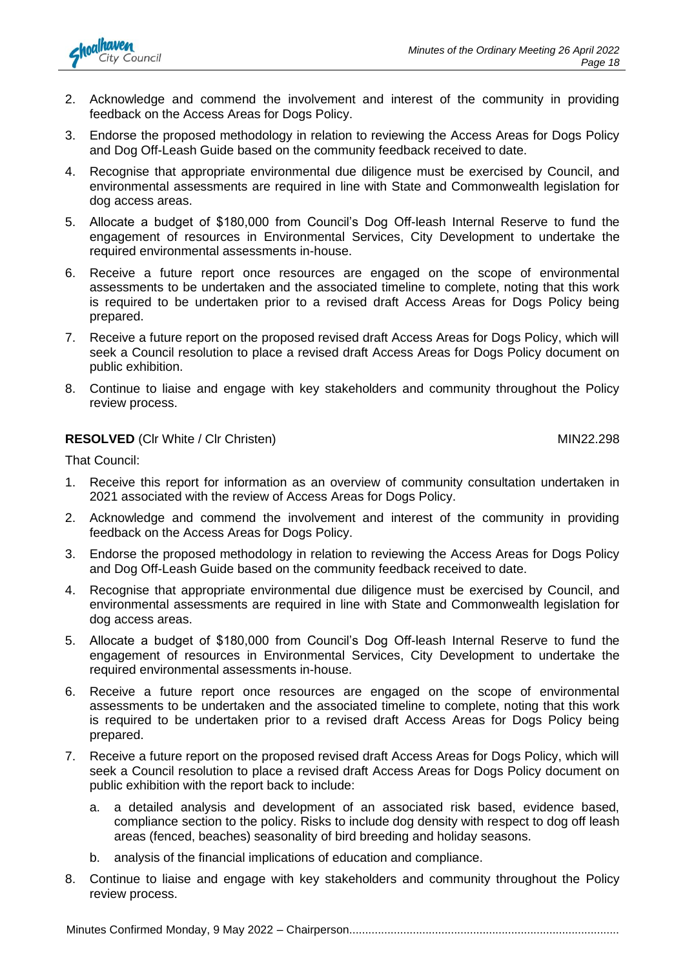

- 2. Acknowledge and commend the involvement and interest of the community in providing feedback on the Access Areas for Dogs Policy.
- 3. Endorse the proposed methodology in relation to reviewing the Access Areas for Dogs Policy and Dog Off-Leash Guide based on the community feedback received to date.
- 4. Recognise that appropriate environmental due diligence must be exercised by Council, and environmental assessments are required in line with State and Commonwealth legislation for dog access areas.
- 5. Allocate a budget of \$180,000 from Council's Dog Off-leash Internal Reserve to fund the engagement of resources in Environmental Services, City Development to undertake the required environmental assessments in-house.
- 6. Receive a future report once resources are engaged on the scope of environmental assessments to be undertaken and the associated timeline to complete, noting that this work is required to be undertaken prior to a revised draft Access Areas for Dogs Policy being prepared.
- 7. Receive a future report on the proposed revised draft Access Areas for Dogs Policy, which will seek a Council resolution to place a revised draft Access Areas for Dogs Policy document on public exhibition.
- 8. Continue to liaise and engage with key stakeholders and community throughout the Policy review process.

#### **RESOLVED** (Clr White / Clr Christen) MIN22.298

That Council:

- 1. Receive this report for information as an overview of community consultation undertaken in 2021 associated with the review of Access Areas for Dogs Policy.
- 2. Acknowledge and commend the involvement and interest of the community in providing feedback on the Access Areas for Dogs Policy.
- 3. Endorse the proposed methodology in relation to reviewing the Access Areas for Dogs Policy and Dog Off-Leash Guide based on the community feedback received to date.
- 4. Recognise that appropriate environmental due diligence must be exercised by Council, and environmental assessments are required in line with State and Commonwealth legislation for dog access areas.
- 5. Allocate a budget of \$180,000 from Council's Dog Off-leash Internal Reserve to fund the engagement of resources in Environmental Services, City Development to undertake the required environmental assessments in-house.
- 6. Receive a future report once resources are engaged on the scope of environmental assessments to be undertaken and the associated timeline to complete, noting that this work is required to be undertaken prior to a revised draft Access Areas for Dogs Policy being prepared.
- 7. Receive a future report on the proposed revised draft Access Areas for Dogs Policy, which will seek a Council resolution to place a revised draft Access Areas for Dogs Policy document on public exhibition with the report back to include:
	- a. a detailed analysis and development of an associated risk based, evidence based, compliance section to the policy. Risks to include dog density with respect to dog off leash areas (fenced, beaches) seasonality of bird breeding and holiday seasons.
	- b. analysis of the financial implications of education and compliance.
- 8. Continue to liaise and engage with key stakeholders and community throughout the Policy review process.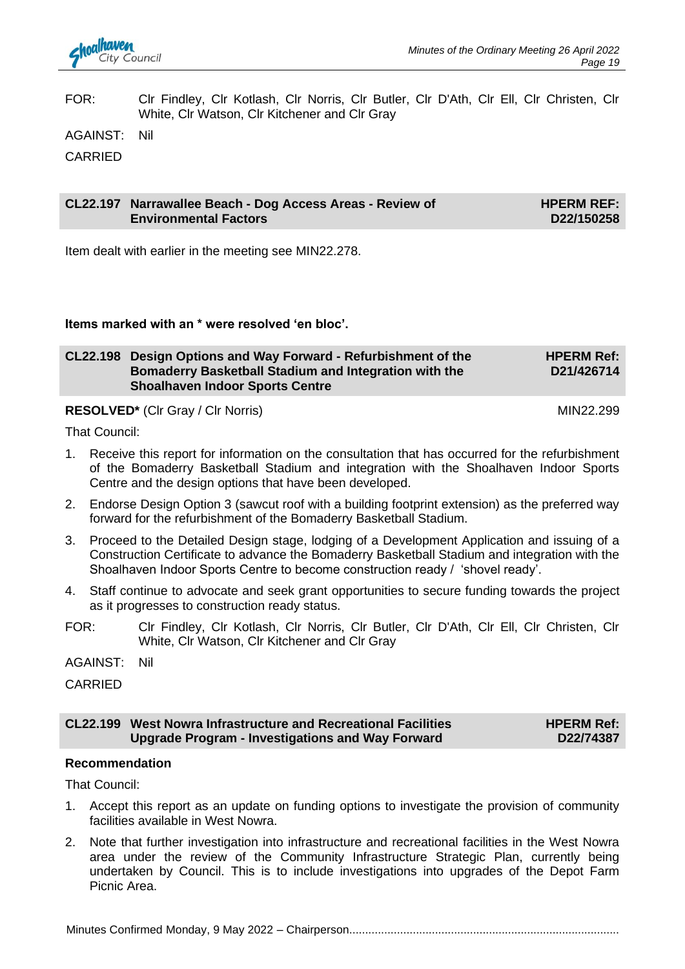

FOR: Clr Findley, Clr Kotlash, Clr Norris, Clr Butler, Clr D'Ath, Clr Ell, Clr Christen, Clr White, Clr Watson, Clr Kitchener and Clr Gray

AGAINST: Nil

CARRIED

#### **CL22.197 Narrawallee Beach - Dog Access Areas - Review of Environmental Factors HPERM REF: D22/150258**

Item dealt with earlier in the meeting see MIN22.278.

#### **Items marked with an \* were resolved 'en bloc'.**

| CL22.198 Design Options and Way Forward - Refurbishment of the | <b>HPERM Ref:</b> |
|----------------------------------------------------------------|-------------------|
| Bomaderry Basketball Stadium and Integration with the          | D21/426714        |
| <b>Shoalhaven Indoor Sports Centre</b>                         |                   |

#### **RESOLVED<sup>\*</sup>** (CIr Gray / CIr Norris) MIN22.299

That Council:

- 1. Receive this report for information on the consultation that has occurred for the refurbishment of the Bomaderry Basketball Stadium and integration with the Shoalhaven Indoor Sports Centre and the design options that have been developed.
- 2. Endorse Design Option 3 (sawcut roof with a building footprint extension) as the preferred way forward for the refurbishment of the Bomaderry Basketball Stadium.
- 3. Proceed to the Detailed Design stage, lodging of a Development Application and issuing of a Construction Certificate to advance the Bomaderry Basketball Stadium and integration with the Shoalhaven Indoor Sports Centre to become construction ready / 'shovel ready'.
- 4. Staff continue to advocate and seek grant opportunities to secure funding towards the project as it progresses to construction ready status.
- FOR: Clr Findley, Clr Kotlash, Clr Norris, Clr Butler, Clr D'Ath, Clr Ell, Clr Christen, Clr White, Clr Watson, Clr Kitchener and Clr Gray

AGAINST: Nil

CARRIED

#### **CL22.199 West Nowra Infrastructure and Recreational Facilities Upgrade Program - Investigations and Way Forward**

**HPERM Ref: D22/74387**

#### **Recommendation**

That Council:

- 1. Accept this report as an update on funding options to investigate the provision of community facilities available in West Nowra.
- 2. Note that further investigation into infrastructure and recreational facilities in the West Nowra area under the review of the Community Infrastructure Strategic Plan, currently being undertaken by Council. This is to include investigations into upgrades of the Depot Farm Picnic Area.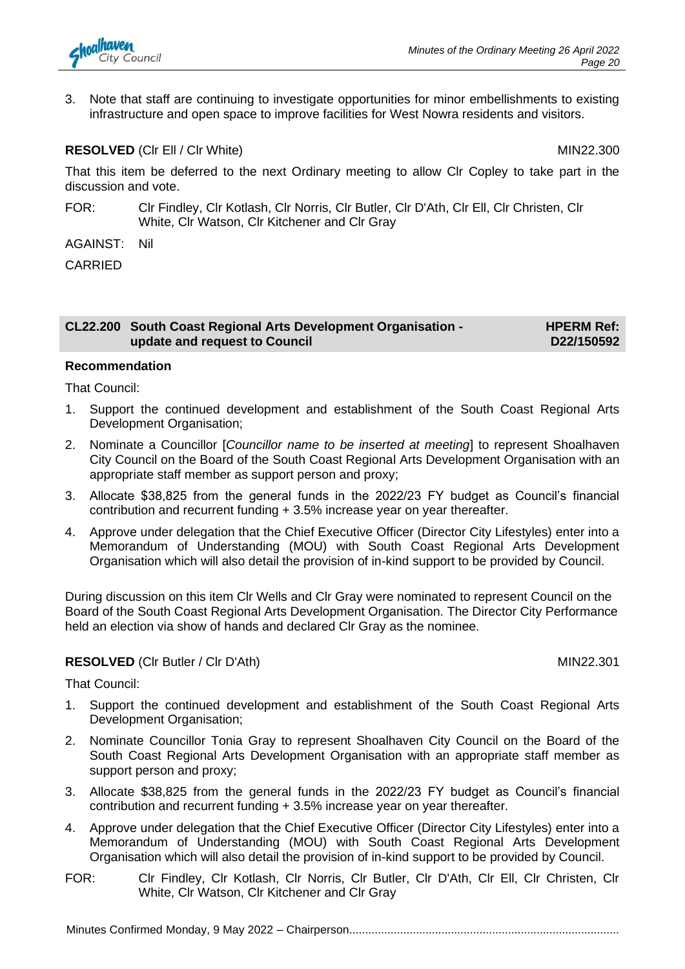

3. Note that staff are continuing to investigate opportunities for minor embellishments to existing infrastructure and open space to improve facilities for West Nowra residents and visitors.

#### **RESOLVED** (CIr Ell / CIr White) MIN22.300

That this item be deferred to the next Ordinary meeting to allow Clr Copley to take part in the discussion and vote.

- FOR: Clr Findley, Clr Kotlash, Clr Norris, Clr Butler, Clr D'Ath, Clr Ell, Clr Christen, Clr White, Clr Watson, Clr Kitchener and Clr Gray
- AGAINST: Nil

CARRIED

#### **CL22.200 South Coast Regional Arts Development Organisation update and request to Council**

**HPERM Ref: D22/150592**

#### **Recommendation**

That Council:

- 1. Support the continued development and establishment of the South Coast Regional Arts Development Organisation;
- 2. Nominate a Councillor [*Councillor name to be inserted at meeting*] to represent Shoalhaven City Council on the Board of the South Coast Regional Arts Development Organisation with an appropriate staff member as support person and proxy;
- 3. Allocate \$38,825 from the general funds in the 2022/23 FY budget as Council's financial contribution and recurrent funding + 3.5% increase year on year thereafter.
- 4. Approve under delegation that the Chief Executive Officer (Director City Lifestyles) enter into a Memorandum of Understanding (MOU) with South Coast Regional Arts Development Organisation which will also detail the provision of in-kind support to be provided by Council.

During discussion on this item Clr Wells and Clr Gray were nominated to represent Council on the Board of the South Coast Regional Arts Development Organisation. The Director City Performance held an election via show of hands and declared Clr Gray as the nominee.

#### **RESOLVED** (CIr Butler / CIr D'Ath) MIN22.301

That Council:

- 1. Support the continued development and establishment of the South Coast Regional Arts Development Organisation;
- 2. Nominate Councillor Tonia Gray to represent Shoalhaven City Council on the Board of the South Coast Regional Arts Development Organisation with an appropriate staff member as support person and proxy;
- 3. Allocate \$38,825 from the general funds in the 2022/23 FY budget as Council's financial contribution and recurrent funding + 3.5% increase year on year thereafter.
- 4. Approve under delegation that the Chief Executive Officer (Director City Lifestyles) enter into a Memorandum of Understanding (MOU) with South Coast Regional Arts Development Organisation which will also detail the provision of in-kind support to be provided by Council.
- FOR: Clr Findley, Clr Kotlash, Clr Norris, Clr Butler, Clr D'Ath, Clr Ell, Clr Christen, Clr White, Clr Watson, Clr Kitchener and Clr Gray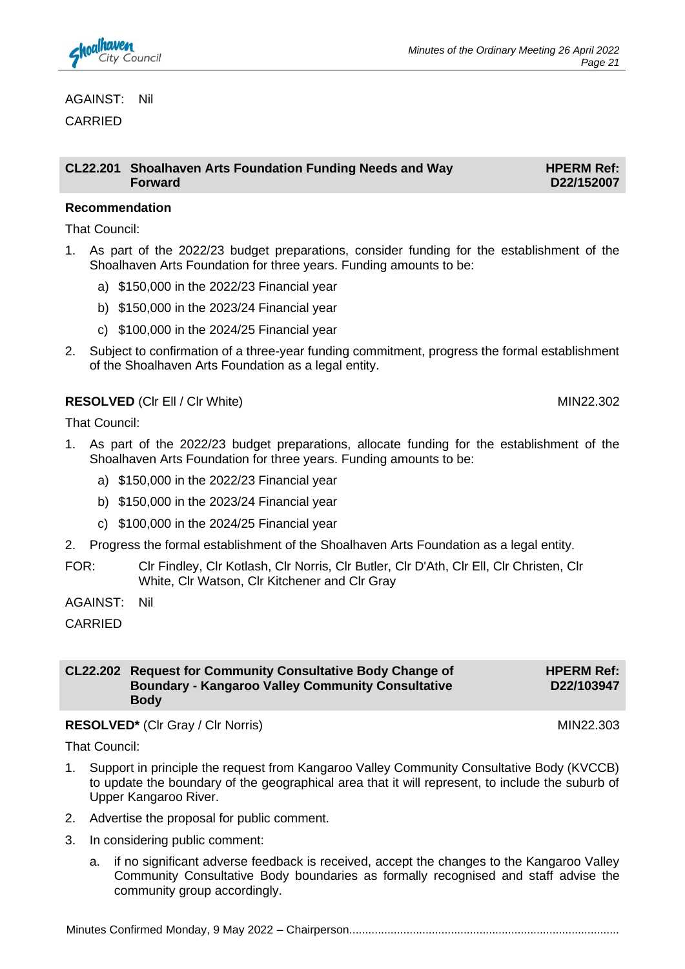

#### AGAINST: Nil

**CARRIED** 

#### **CL22.201 Shoalhaven Arts Foundation Funding Needs and Way Forward**

**HPERM Ref: D22/152007**

#### **Recommendation**

That Council:

- 1. As part of the 2022/23 budget preparations, consider funding for the establishment of the Shoalhaven Arts Foundation for three years. Funding amounts to be:
	- a) \$150,000 in the 2022/23 Financial year
	- b) \$150,000 in the 2023/24 Financial year
	- c) \$100,000 in the 2024/25 Financial year
- 2. Subject to confirmation of a three-year funding commitment, progress the formal establishment of the Shoalhaven Arts Foundation as a legal entity.

#### **RESOLVED** (CIr Ell / CIr White) MIN22.302

That Council:

- 1. As part of the 2022/23 budget preparations, allocate funding for the establishment of the Shoalhaven Arts Foundation for three years. Funding amounts to be:
	- a) \$150,000 in the 2022/23 Financial year
	- b) \$150,000 in the 2023/24 Financial year
	- c) \$100,000 in the 2024/25 Financial year
- 2. Progress the formal establishment of the Shoalhaven Arts Foundation as a legal entity.
- FOR: Clr Findley, Clr Kotlash, Clr Norris, Clr Butler, Clr D'Ath, Clr Ell, Clr Christen, Clr White, Clr Watson, Clr Kitchener and Clr Gray

AGAINST: Nil

CARRIED

**CL22.202 Request for Community Consultative Body Change of Boundary - Kangaroo Valley Community Consultative Body HPERM Ref: D22/103947**

#### RESOLVED<sup>\*</sup> (Clr Gray / Clr Norris) MIN22.303

That Council:

- 1. Support in principle the request from Kangaroo Valley Community Consultative Body (KVCCB) to update the boundary of the geographical area that it will represent, to include the suburb of Upper Kangaroo River.
- 2. Advertise the proposal for public comment.
- 3. In considering public comment:
	- a. if no significant adverse feedback is received, accept the changes to the Kangaroo Valley Community Consultative Body boundaries as formally recognised and staff advise the community group accordingly.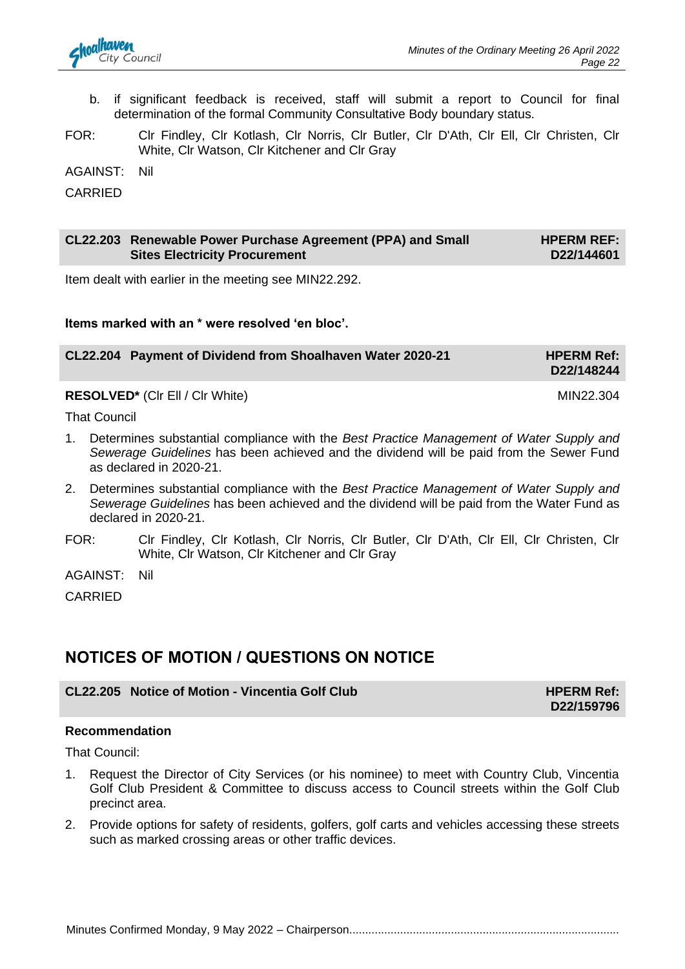- b. if significant feedback is received, staff will submit a report to Council for final determination of the formal Community Consultative Body boundary status.
- FOR: Clr Findley, Clr Kotlash, Clr Norris, Clr Butler, Clr D'Ath, Clr Ell, Clr Christen, Clr White, Clr Watson, Clr Kitchener and Clr Gray

AGAINST: Nil

CARRIED

#### **CL22.203 Renewable Power Purchase Agreement (PPA) and Small Sites Electricity Procurement HPERM REF: D22/144601**

Item dealt with earlier in the meeting see MIN22.292.

**Items marked with an \* were resolved 'en bloc'.**

| CL22.204 Payment of Dividend from Shoalhaven Water 2020-21 | <b>HPERM Ref:</b> |
|------------------------------------------------------------|-------------------|
|                                                            | D22/148244        |
|                                                            |                   |

**RESOLVED<sup>\*</sup>** (CIr Ell / CIr White) MIN22.304

That Council

- 1. Determines substantial compliance with the *Best Practice Management of Water Supply and Sewerage Guidelines* has been achieved and the dividend will be paid from the Sewer Fund as declared in 2020-21.
- 2. Determines substantial compliance with the *Best Practice Management of Water Supply and Sewerage Guidelines* has been achieved and the dividend will be paid from the Water Fund as declared in 2020-21.
- FOR: Clr Findley, Clr Kotlash, Clr Norris, Clr Butler, Clr D'Ath, Clr Ell, Clr Christen, Clr White, Clr Watson, Clr Kitchener and Clr Gray

AGAINST: Nil

CARRIED

### **NOTICES OF MOTION / QUESTIONS ON NOTICE**

#### **CL22.205 Notice of Motion - Vincentia Golf Club HPERM Ref:**

**D22/159796**

#### **Recommendation**

That Council:

- 1. Request the Director of City Services (or his nominee) to meet with Country Club, Vincentia Golf Club President & Committee to discuss access to Council streets within the Golf Club precinct area.
- 2. Provide options for safety of residents, golfers, golf carts and vehicles accessing these streets such as marked crossing areas or other traffic devices.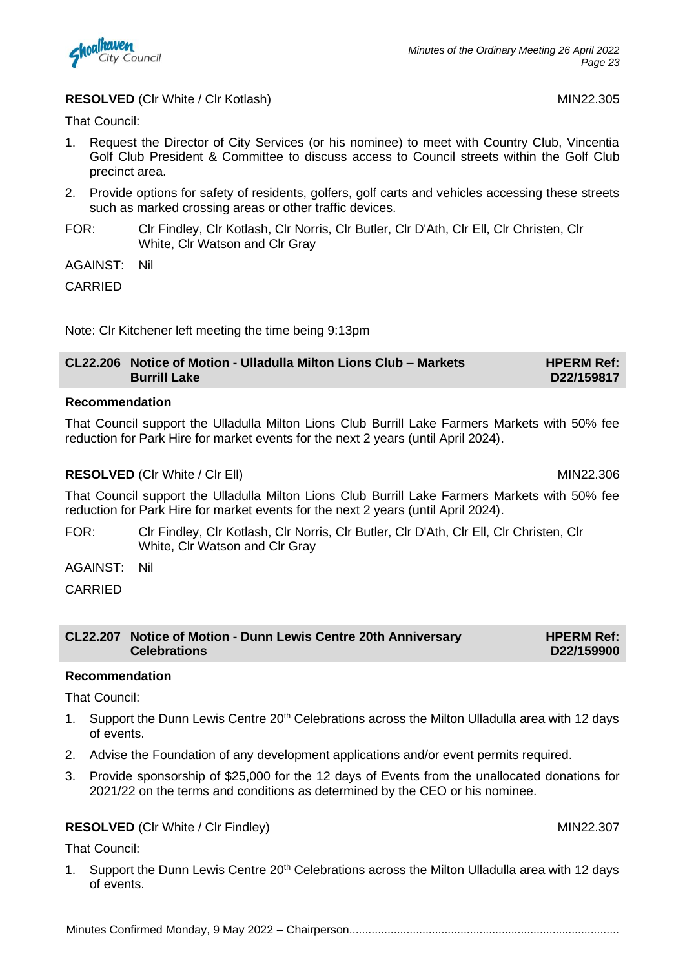

#### **RESOLVED** (Clr White / Clr Kotlash) MIN22.305

That Council:

- 1. Request the Director of City Services (or his nominee) to meet with Country Club, Vincentia Golf Club President & Committee to discuss access to Council streets within the Golf Club precinct area.
- 2. Provide options for safety of residents, golfers, golf carts and vehicles accessing these streets such as marked crossing areas or other traffic devices.
- FOR: Clr Findley, Clr Kotlash, Clr Norris, Clr Butler, Clr D'Ath, Clr Ell, Clr Christen, Clr White, Clr Watson and Clr Gray
- AGAINST: Nil

CARRIED

Note: Clr Kitchener left meeting the time being 9:13pm

| CL22.206 Notice of Motion - Ulladulla Milton Lions Club - Markets | <b>HPERM Ref:</b> |
|-------------------------------------------------------------------|-------------------|
| <b>Burrill Lake</b>                                               | D22/159817        |

#### **Recommendation**

That Council support the Ulladulla Milton Lions Club Burrill Lake Farmers Markets with 50% fee reduction for Park Hire for market events for the next 2 years (until April 2024).

#### **RESOLVED** (CIr White / CIr Ell) MIN22.306

That Council support the Ulladulla Milton Lions Club Burrill Lake Farmers Markets with 50% fee reduction for Park Hire for market events for the next 2 years (until April 2024).

- FOR: Clr Findley, Clr Kotlash, Clr Norris, Clr Butler, Clr D'Ath, Clr Ell, Clr Christen, Clr White, Clr Watson and Clr Gray
- AGAINST: Nil

CARRIED

| CL22.207 Notice of Motion - Dunn Lewis Centre 20th Anniversary | <b>HPERM Ref:</b> |
|----------------------------------------------------------------|-------------------|
| <b>Celebrations</b>                                            | D22/159900        |

#### **Recommendation**

That Council:

- 1. Support the Dunn Lewis Centre 20<sup>th</sup> Celebrations across the Milton Ulladulla area with 12 days of events.
- 2. Advise the Foundation of any development applications and/or event permits required.
- 3. Provide sponsorship of \$25,000 for the 12 days of Events from the unallocated donations for 2021/22 on the terms and conditions as determined by the CEO or his nominee.

#### **RESOLVED** (CIr White / CIr Findley) MIN22.307

That Council:

1. Support the Dunn Lewis Centre 20<sup>th</sup> Celebrations across the Milton Ulladulla area with 12 days of events.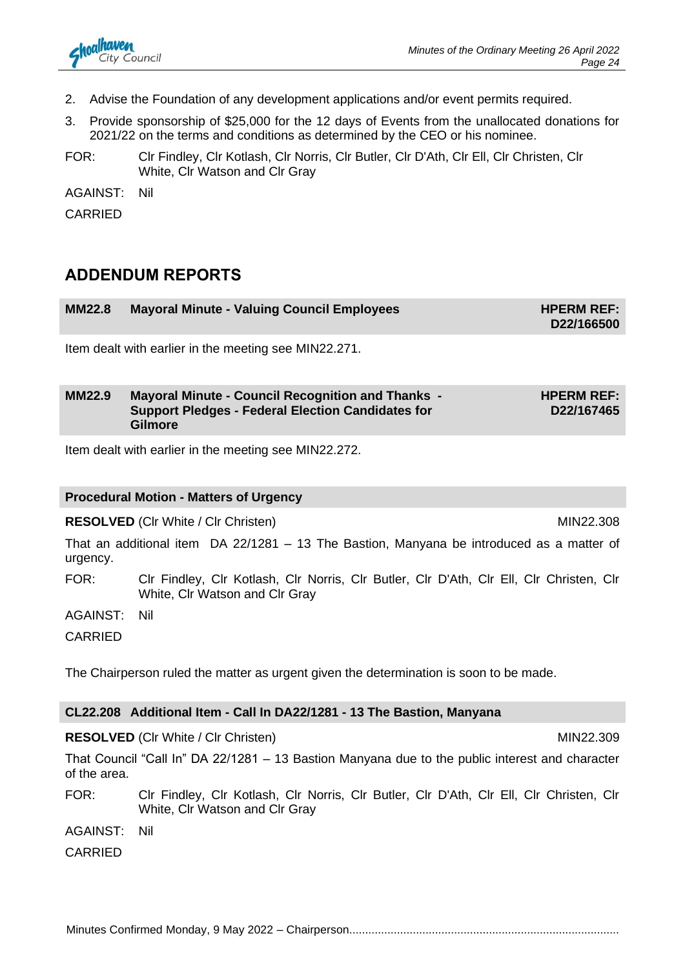- 2. Advise the Foundation of any development applications and/or event permits required.
- 3. Provide sponsorship of \$25,000 for the 12 days of Events from the unallocated donations for 2021/22 on the terms and conditions as determined by the CEO or his nominee.
- FOR: Clr Findley, Clr Kotlash, Clr Norris, Clr Butler, Clr D'Ath, Clr Ell, Clr Christen, Clr White, Clr Watson and Clr Gray

AGAINST: Nil

CARRIED

### **ADDENDUM REPORTS**

| <b>MM22.8</b> | <b>Mayoral Minute - Valuing Council Employees</b> | <b>HPERM REF:</b><br>D22/166500 |
|---------------|---------------------------------------------------|---------------------------------|
|               |                                                   |                                 |

Item dealt with earlier in the meeting see MIN22.271.

#### **MM22.9 Mayoral Minute - Council Recognition and Thanks - Support Pledges - Federal Election Candidates for Gilmore HPERM REF: D22/167465**

Item dealt with earlier in the meeting see MIN22.272.

#### **Procedural Motion - Matters of Urgency**

**RESOLVED** (CIr White / CIr Christen) MIN22.308

That an additional item DA 22/1281 – 13 The Bastion, Manyana be introduced as a matter of urgency.

FOR: Clr Findley, Clr Kotlash, Clr Norris, Clr Butler, Clr D'Ath, Clr Ell, Clr Christen, Clr White, Clr Watson and Clr Gray

AGAINST: Nil

CARRIED

The Chairperson ruled the matter as urgent given the determination is soon to be made.

#### **CL22.208 Additional Item - Call In DA22/1281 - 13 The Bastion, Manyana**

**RESOLVED** (CIr White / CIr Christen) MIN22.309

That Council "Call In" DA 22/1281 – 13 Bastion Manyana due to the public interest and character of the area.

FOR: Clr Findley, Clr Kotlash, Clr Norris, Clr Butler, Clr D'Ath, Clr Ell, Clr Christen, Clr White, Clr Watson and Clr Gray

AGAINST: Nil